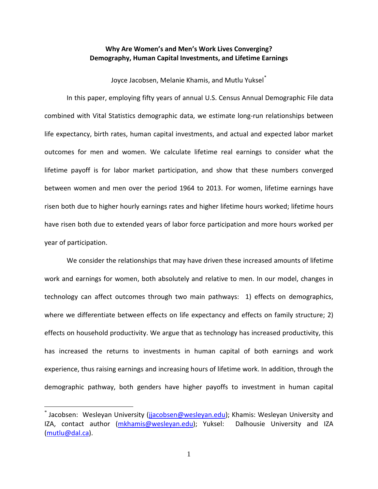## **Why Are Women's and Men's Work Lives Converging? Demography, Human Capital Investments, and Lifetime Earnings**

Joyce Jacobsen, Melanie Khamis, and Mutlu Yuksel<sup>[\\*](#page-0-0)</sup>

In this paper, employing fifty years of annual U.S. Census Annual Demographic File data combined with Vital Statistics demographic data, we estimate long-run relationships between life expectancy, birth rates, human capital investments, and actual and expected labor market outcomes for men and women. We calculate lifetime real earnings to consider what the lifetime payoff is for labor market participation, and show that these numbers converged between women and men over the period 1964 to 2013. For women, lifetime earnings have risen both due to higher hourly earnings rates and higher lifetime hours worked; lifetime hours have risen both due to extended years of labor force participation and more hours worked per year of participation.

We consider the relationships that may have driven these increased amounts of lifetime work and earnings for women, both absolutely and relative to men. In our model, changes in technology can affect outcomes through two main pathways: 1) effects on demographics, where we differentiate between effects on life expectancy and effects on family structure; 2) effects on household productivity. We argue that as technology has increased productivity, this has increased the returns to investments in human capital of both earnings and work experience, thus raising earnings and increasing hours of lifetime work. In addition, through the demographic pathway, both genders have higher payoffs to investment in human capital

 $\overline{a}$ 

<span id="page-0-0"></span> $^*$  Jacobsen: Wesleyan University [\(jjacobsen@wesleyan.edu\)](mailto:jjacobsen@wesleyan.edu); Khamis: Wesleyan University and IZA, contact author [\(mkhamis@wesleyan.edu\)](mailto:mkhamis@wesleyan.edu); Yuksel: Dalhousie University and IZA [\(mutlu@dal.ca\)](mailto:mutlu@dal.ca).